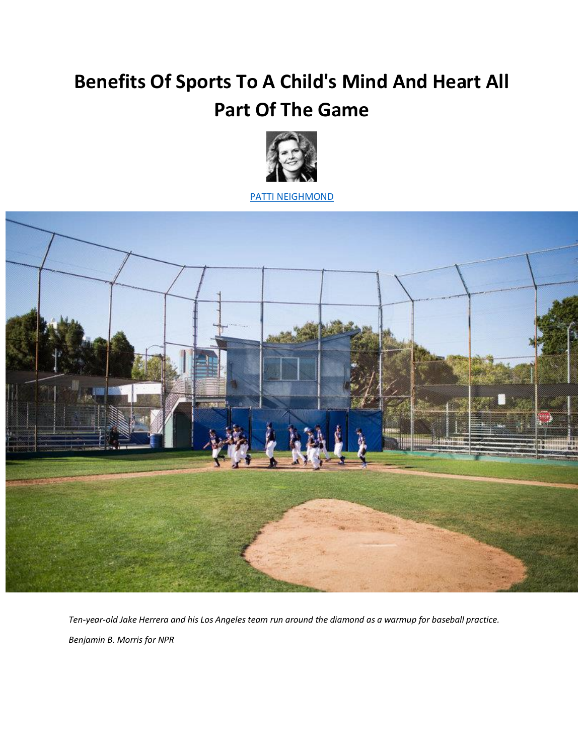## **Benefits Of Sports To A Child's Mind And Heart All Part Of The Game**



[PATTI NEIGHMOND](http://www.npr.org/people/2100955/patti-neighmond)



*Ten-year-old Jake Herrera and his Los Angeles team run around the diamond as a warmup for baseball practice. Benjamin B. Morris for NPR*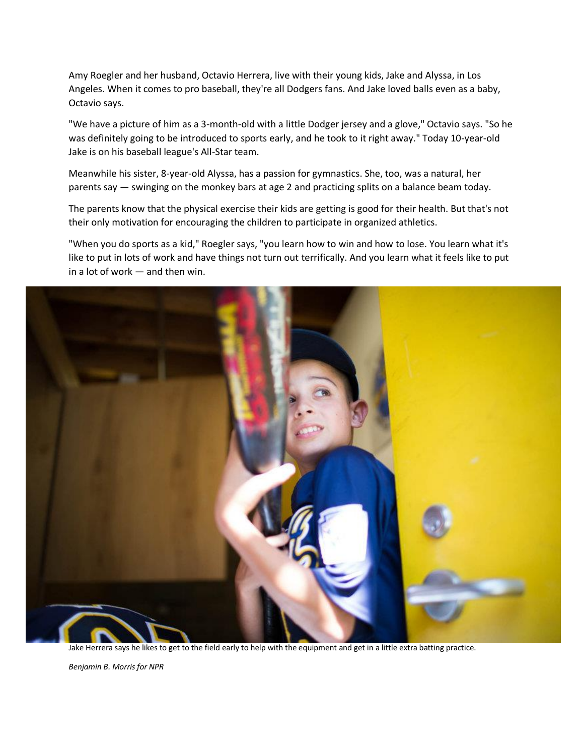Amy Roegler and her husband, Octavio Herrera, live with their young kids, Jake and Alyssa, in Los Angeles. When it comes to pro baseball, they're all Dodgers fans. And Jake loved balls even as a baby, Octavio says.

"We have a picture of him as a 3-month-old with a little Dodger jersey and a glove," Octavio says. "So he was definitely going to be introduced to sports early, and he took to it right away." Today 10-year-old Jake is on his baseball league's All-Star team.

Meanwhile his sister, 8-year-old Alyssa, has a passion for gymnastics. She, too, was a natural, her parents say — swinging on the monkey bars at age 2 and practicing splits on a balance beam today.

The parents know that the physical exercise their kids are getting is good for their health. But that's not their only motivation for encouraging the children to participate in organized athletics.

"When you do sports as a kid," Roegler says, "you learn how to win and how to lose. You learn what it's like to put in lots of work and have things not turn out terrifically. And you learn what it feels like to put in a lot of work — and then win.



Jake Herrera says he likes to get to the field early to help with the equipment and get in a little extra batting practice.

*Benjamin B. Morris for NPR*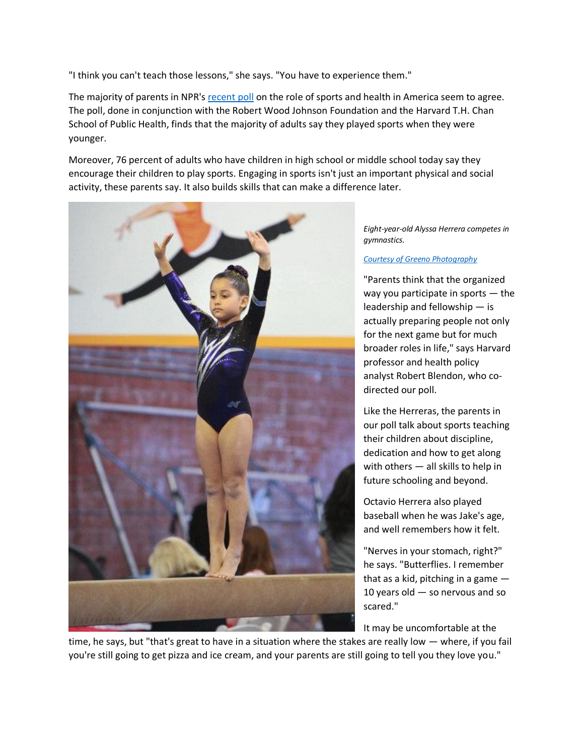"I think you can't teach those lessons," she says. "You have to experience them."

The majority of parents in NPR's [recent poll](http://media.npr.org/documents/2015/june/sportsandhealthpoll.pdf) on the role of sports and health in America seem to agree. The poll, done in conjunction with the Robert Wood Johnson Foundation and the Harvard T.H. Chan School of Public Health, finds that the majority of adults say they played sports when they were younger.

Moreover, 76 percent of adults who have children in high school or middle school today say they encourage their children to play sports. Engaging in sports isn't just an important physical and social activity, these parents say. It also builds skills that can make a difference later.



*Eight-year-old Alyssa Herrera competes in gymnastics.*

## *[Courtesy of Greeno Photography](http://www.npr.org/sections/health-shots/2015/07/01/418899249/greenophotography.com)*

"Parents think that the organized way you participate in sports — the leadership and fellowship — is actually preparing people not only for the next game but for much broader roles in life," says Harvard professor and health policy analyst Robert Blendon, who codirected our poll.

Like the Herreras, the parents in our poll talk about sports teaching their children about discipline, dedication and how to get along with others — all skills to help in future schooling and beyond.

Octavio Herrera also played baseball when he was Jake's age, and well remembers how it felt.

"Nerves in your stomach, right?" he says. "Butterflies. I remember that as a kid, pitching in a game  $-$ 10 years old — so nervous and so scared."

It may be uncomfortable at the

time, he says, but "that's great to have in a situation where the stakes are really low — where, if you fail you're still going to get pizza and ice cream, and your parents are still going to tell you they love you."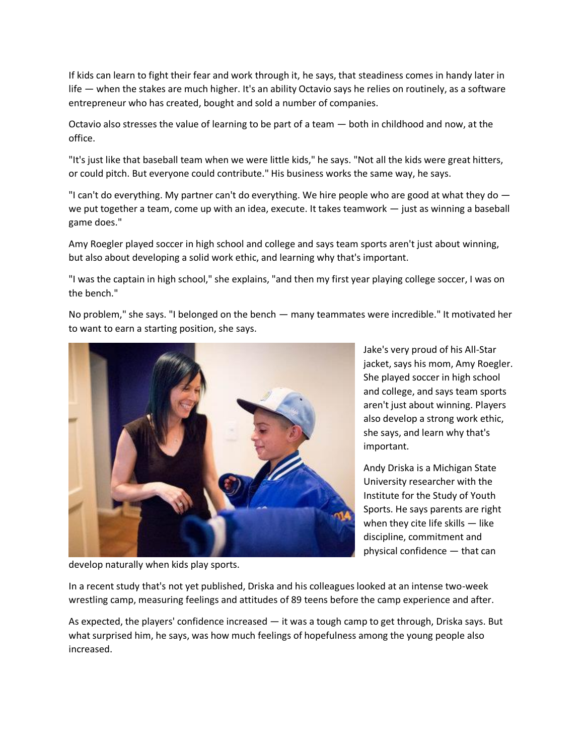If kids can learn to fight their fear and work through it, he says, that steadiness comes in handy later in life — when the stakes are much higher. It's an ability Octavio says he relies on routinely, as a software entrepreneur who has created, bought and sold a number of companies.

Octavio also stresses the value of learning to be part of a team — both in childhood and now, at the office.

"It's just like that baseball team when we were little kids," he says. "Not all the kids were great hitters, or could pitch. But everyone could contribute." His business works the same way, he says.

"I can't do everything. My partner can't do everything. We hire people who are good at what they do  $$ we put together a team, come up with an idea, execute. It takes teamwork — just as winning a baseball game does."

Amy Roegler played soccer in high school and college and says team sports aren't just about winning, but also about developing a solid work ethic, and learning why that's important.

"I was the captain in high school," she explains, "and then my first year playing college soccer, I was on the bench."

No problem," she says. "I belonged on the bench — many teammates were incredible." It motivated her to want to earn a starting position, she says.



Jake's very proud of his All-Star jacket, says his mom, Amy Roegler. She played soccer in high school and college, and says team sports aren't just about winning. Players also develop a strong work ethic, she says, and learn why that's important.

Andy Driska is a Michigan State University researcher with the Institute for the Study of Youth Sports. He says parents are right when they cite life skills — like discipline, commitment and physical confidence — that can

develop naturally when kids play sports.

In a recent study that's not yet published, Driska and his colleagues looked at an intense two-week wrestling camp, measuring feelings and attitudes of 89 teens before the camp experience and after.

As expected, the players' confidence increased — it was a tough camp to get through, Driska says. But what surprised him, he says, was how much feelings of hopefulness among the young people also increased.